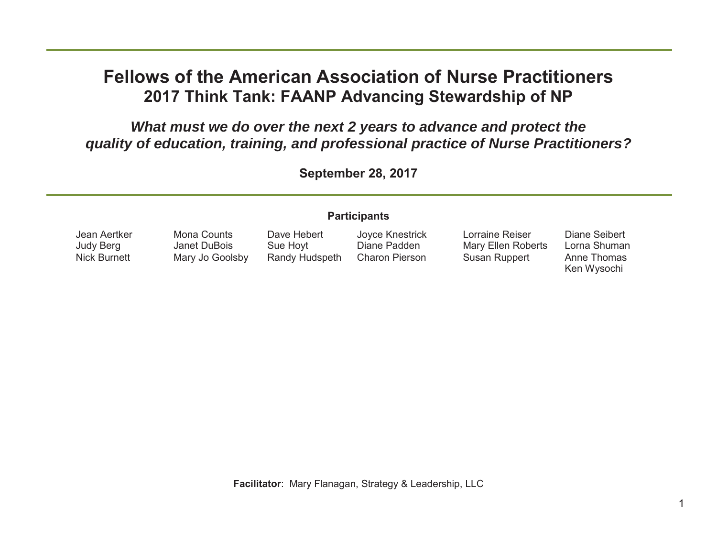### **Fellows of the American Association of Nurse Practitioners 2017 Think Tank: FAANP Advancing Stewardship of NP**

*What must we do over the next 2 years to advance and protect the quality of education, training, and professional practice of Nurse Practitioners?*

**September 28, 2017** 

#### **Participants**

| Jean Aertker | Mona Counts     | Dave Hebert    | Joyce Knestrick       | Lorraine Reiser    | Diane Seibert |
|--------------|-----------------|----------------|-----------------------|--------------------|---------------|
| Judy Berg    | Janet DuBois    | Sue Hoyt       | Diane Padden          | Mary Ellen Roberts | Lorna Shuman  |
| Nick Burnett | Mary Jo Goolsby | Randy Hudspeth | <b>Charon Pierson</b> | Susan Ruppert      | Anne Thomas   |
|              |                 |                |                       |                    | Ken Wysochi   |

**Facilitator**: Mary Flanagan, Strategy & Leadership, LLC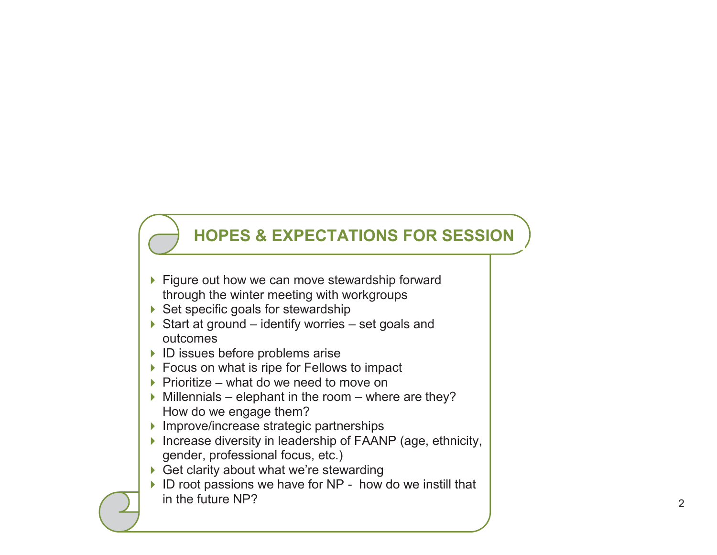# **HOPES & EXPECTATIONS FOR SESSION**

- ▶ Figure out how we can move stewardship forward through the winter meeting with workgroups
- $\blacktriangleright$  Set specific goals for stewardship
- ▶ Start at ground identify worries set goals and outcomes
- ▶ ID issues before problems arise
- ▶ Focus on what is ripe for Fellows to impact
- $\triangleright$  Prioritize what do we need to move on
- $\blacktriangleright$  Millennials elephant in the room where are they? How do we engage them?
- ▶ Improve/increase strategic partnerships
- ▶ Increase diversity in leadership of FAANP (age, ethnicity, gender, professional focus, etc.)
- ▶ Get clarity about what we're stewarding
- ▶ ID root passions we have for NP how do we instill that in the future NP?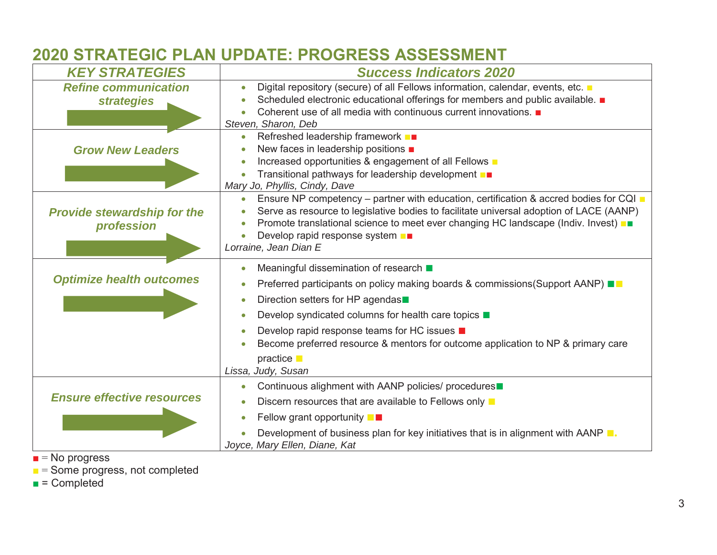| <b>KEY STRATEGIES</b>                            | <b>Success Indicators 2020</b>                                                                                                                                                                                                                                                                                                                                                                                                        |  |  |
|--------------------------------------------------|---------------------------------------------------------------------------------------------------------------------------------------------------------------------------------------------------------------------------------------------------------------------------------------------------------------------------------------------------------------------------------------------------------------------------------------|--|--|
| <b>Refine communication</b><br><b>strategies</b> | Digital repository (secure) of all Fellows information, calendar, events, etc.<br>Scheduled electronic educational offerings for members and public available. $\blacksquare$<br>Coherent use of all media with continuous current innovations.<br>Steven, Sharon, Deb                                                                                                                                                                |  |  |
| <b>Grow New Leaders</b>                          | Refreshed leadership framework ■■<br>$\bullet$<br>New faces in leadership positions <b>=</b><br>Increased opportunities & engagement of all Fellows<br>٠<br>Transitional pathways for leadership development<br>Mary Jo, Phyllis, Cindy, Dave                                                                                                                                                                                         |  |  |
| <b>Provide stewardship for the</b><br>profession | Ensure NP competency - partner with education, certification & accred bodies for CQI .<br>$\bullet$<br>Serve as resource to legislative bodies to facilitate universal adoption of LACE (AANP)<br>Promote translational science to meet ever changing HC landscape (Indiv. Invest) $\blacksquare$<br>Develop rapid response system ■■<br>Lorraine, Jean Dian E                                                                        |  |  |
| <b>Optimize health outcomes</b>                  | Meaningful dissemination of research ■<br>$\bullet$<br>Preferred participants on policy making boards & commissions(Support AANP) ■■<br>$\bullet$<br>Direction setters for HP agendas■<br>٠<br>Develop syndicated columns for health care topics ■<br>$\bullet$<br>Develop rapid response teams for HC issues ■<br>Become preferred resource & mentors for outcome application to NP & primary care<br>practive<br>Lissa, Judy, Susan |  |  |
| <b>Ensure effective resources</b>                | Continuous alighment with AANP policies/ procedures<br>Discern resources that are available to Fellows only L<br>Fellow grant opportunity $\blacksquare$<br>$\bullet$<br>Development of business plan for key initiatives that is in alignment with AANP .<br>Joyce, Mary Ellen, Diane, Kat                                                                                                                                           |  |  |

# **2020 STRATEGIC PLAN UPDATE: PROGRESS ASSESSMENT**

 $\blacksquare$  = No progress

 $\blacksquare$  = Some progress, not completed

■ = Completed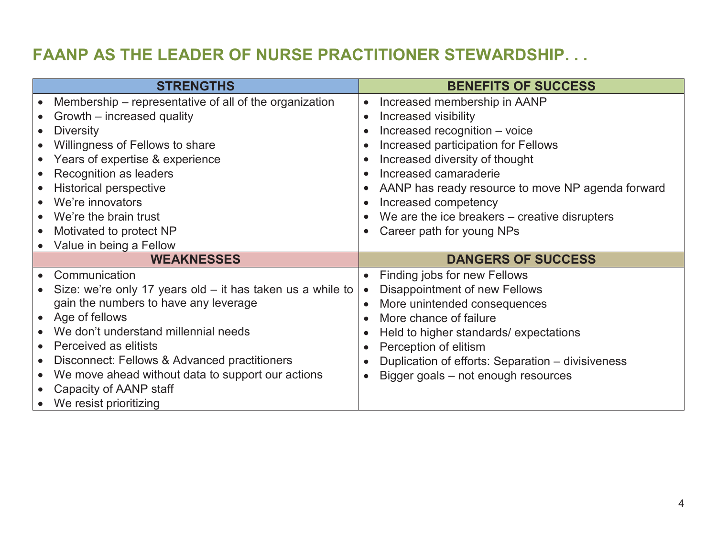# **FAANP AS THE LEADER OF NURSE PRACTITIONER STEWARDSHIP. . .**

|           | <b>STRENGTHS</b>                                             |           | <b>BENEFITS OF SUCCESS</b>                        |
|-----------|--------------------------------------------------------------|-----------|---------------------------------------------------|
|           | Membership - representative of all of the organization       | $\bullet$ | Increased membership in AANP                      |
|           | Growth – increased quality                                   | $\bullet$ | Increased visibility                              |
|           | <b>Diversity</b>                                             |           | Increased recognition - voice                     |
|           | Willingness of Fellows to share                              |           | Increased participation for Fellows               |
|           | Years of expertise & experience                              |           | Increased diversity of thought                    |
|           | Recognition as leaders                                       |           | Increased camaraderie                             |
|           | <b>Historical perspective</b>                                |           | AANP has ready resource to move NP agenda forward |
|           | We're innovators                                             | $\bullet$ | Increased competency                              |
|           | We're the brain trust                                        |           | We are the ice breakers – creative disrupters     |
|           | Motivated to protect NP                                      |           | Career path for young NPs                         |
| $\bullet$ | Value in being a Fellow                                      |           |                                                   |
|           | <b>WEAKNESSES</b>                                            |           | <b>DANGERS OF SUCCESS</b>                         |
|           | Communication                                                | $\bullet$ | Finding jobs for new Fellows                      |
|           | Size: we're only 17 years old $-$ it has taken us a while to | $\bullet$ | Disappointment of new Fellows                     |
|           | gain the numbers to have any leverage                        |           | More unintended consequences                      |
| $\bullet$ | Age of fellows                                               |           | More chance of failure                            |
|           | We don't understand millennial needs                         | $\bullet$ | Held to higher standards/expectations             |
| $\bullet$ | Perceived as elitists                                        |           | Perception of elitism                             |
| $\bullet$ | Disconnect: Fellows & Advanced practitioners                 |           | Duplication of efforts: Separation - divisiveness |
| $\bullet$ | We move ahead without data to support our actions            |           | Bigger goals - not enough resources               |
|           | Capacity of AANP staff                                       |           |                                                   |
|           | We resist prioritizing                                       |           |                                                   |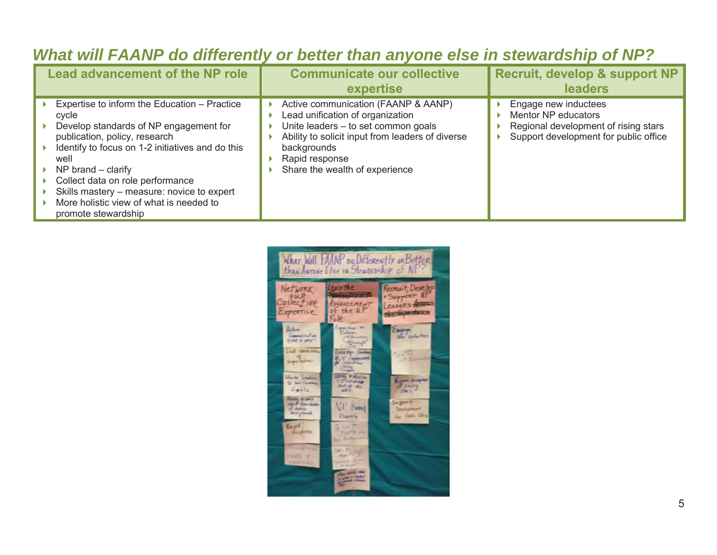| <b>Lead advancement of the NP role</b>                                                                                                                                                                                                                                                                                                                                     | <b>Communicate our collective</b><br>expertise                                                                                                                                                                                        | <b>Recruit, develop &amp; support NP</b><br>leaders                                                                          |
|----------------------------------------------------------------------------------------------------------------------------------------------------------------------------------------------------------------------------------------------------------------------------------------------------------------------------------------------------------------------------|---------------------------------------------------------------------------------------------------------------------------------------------------------------------------------------------------------------------------------------|------------------------------------------------------------------------------------------------------------------------------|
| Expertise to inform the Education - Practice<br>cycle<br>Develop standards of NP engagement for<br>publication, policy, research<br>Identify to focus on 1-2 initiatives and do this<br>well<br>$NP$ brand $-$ clarify<br>Collect data on role performance<br>Skills mastery - measure: novice to expert<br>More holistic view of what is needed to<br>promote stewardship | Active communication (FAANP & AANP)<br>Lead unification of organization<br>Unite leaders - to set common goals<br>Ability to solicit input from leaders of diverse<br>backgrounds<br>Rapid response<br>Share the wealth of experience | Engage new inductees<br>Mentor NP educators<br>Regional development of rising stars<br>Support development for public office |

#### *What will FAANP do differently or better than anyone else in stewardship of NP?*

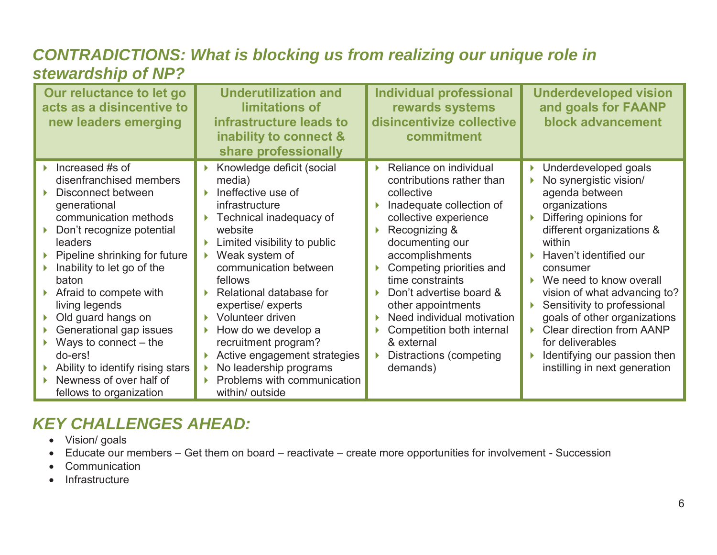# *CONTRADICTIONS: What is blocking us from realizing our unique role in stewardship of NP?*

| Our reluctance to let go<br>acts as a disincentive to<br>new leaders emerging                                                                                                                                                                                                                                                                                                                                                                                                                                                                                                                                                | <b>Underutilization and</b><br>limitations of<br>infrastructure leads to<br>inability to connect &<br>share professionally                                                                                                                                                                                                                                                                                                                                           | <b>Individual professional</b><br>rewards systems<br>disincentivize collective<br>commitment                                                                                                                                                                                                                                                                                                                                             | <b>Underdeveloped vision</b><br>and goals for FAANP<br>block advancement                                                                                                                                                                                                                                                                                                                                                                                                |
|------------------------------------------------------------------------------------------------------------------------------------------------------------------------------------------------------------------------------------------------------------------------------------------------------------------------------------------------------------------------------------------------------------------------------------------------------------------------------------------------------------------------------------------------------------------------------------------------------------------------------|----------------------------------------------------------------------------------------------------------------------------------------------------------------------------------------------------------------------------------------------------------------------------------------------------------------------------------------------------------------------------------------------------------------------------------------------------------------------|------------------------------------------------------------------------------------------------------------------------------------------------------------------------------------------------------------------------------------------------------------------------------------------------------------------------------------------------------------------------------------------------------------------------------------------|-------------------------------------------------------------------------------------------------------------------------------------------------------------------------------------------------------------------------------------------------------------------------------------------------------------------------------------------------------------------------------------------------------------------------------------------------------------------------|
| Increased #s of<br>$\blacktriangleright$<br>disenfranchised members<br>Disconnect between<br>$\blacktriangleright$<br>generational<br>communication methods<br>Don't recognize potential<br>$\blacktriangleright$<br><b>leaders</b><br>Pipeline shrinking for future<br>Inability to let go of the<br>baton<br>$\triangleright$ Afraid to compete with<br>living legends<br>Old guard hangs on<br>$\blacktriangleright$<br>Generational gap issues<br>$\blacktriangleright$ Ways to connect – the<br>do-ers!<br>$\blacktriangleright$ Ability to identify rising stars<br>Newness of over half of<br>fellows to organization | Knowledge deficit (social<br>media)<br>Ineffective use of<br>infrastructure<br>Technical inadequacy of<br>N<br>website<br>Limited visibility to public<br>Weak system of<br>Þ<br>communication between<br>fellows<br>Relational database for<br>ь<br>expertise/experts<br>Volunteer driven<br>ь<br>How do we develop a<br>ь<br>recruitment program?<br>Active engagement strategies<br>No leadership programs<br>Problems with communication<br>ь<br>within/ outside | Reliance on individual<br>ь<br>contributions rather than<br>collective<br>Inadequate collection of<br>ь<br>collective experience<br>Recognizing &<br>Ы<br>documenting our<br>accomplishments<br>Competing priorities and<br>N<br>time constraints<br>Don't advertise board &<br>ь<br>other appointments<br>Need individual motivation<br>ь<br>Competition both internal<br>ь<br>& external<br><b>Distractions (competing</b><br>demands) | Underdeveloped goals<br>No synergistic vision/<br>agenda between<br>organizations<br>Differing opinions for<br>different organizations &<br>within<br>Haven't identified our<br>¥.<br>consumer<br>$\triangleright$ We need to know overall<br>vision of what advancing to?<br>Sensitivity to professional<br>Ы<br>goals of other organizations<br><b>Clear direction from AANP</b><br>for deliverables<br>Identifying our passion then<br>instilling in next generation |

# *KEY CHALLENGES AHEAD:*

- Vision/ goals
- $\bullet$  Educate our members Get them on board reactivate create more opportunities for involvement Succession
- Communication
- Infrastructure